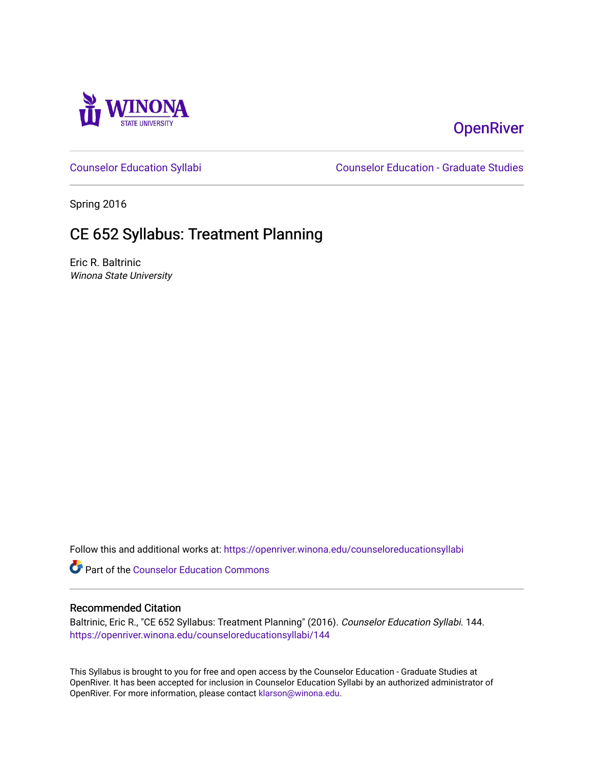

# **OpenRiver**

[Counselor Education Syllabi](https://openriver.winona.edu/counseloreducationsyllabi) [Counselor Education - Graduate Studies](https://openriver.winona.edu/counseloreducation) 

Spring 2016

# CE 652 Syllabus: Treatment Planning

Eric R. Baltrinic Winona State University

Follow this and additional works at: [https://openriver.winona.edu/counseloreducationsyllabi](https://openriver.winona.edu/counseloreducationsyllabi?utm_source=openriver.winona.edu%2Fcounseloreducationsyllabi%2F144&utm_medium=PDF&utm_campaign=PDFCoverPages)

Part of the [Counselor Education Commons](http://network.bepress.com/hgg/discipline/1278?utm_source=openriver.winona.edu%2Fcounseloreducationsyllabi%2F144&utm_medium=PDF&utm_campaign=PDFCoverPages) 

### Recommended Citation

Baltrinic, Eric R., "CE 652 Syllabus: Treatment Planning" (2016). Counselor Education Syllabi. 144. [https://openriver.winona.edu/counseloreducationsyllabi/144](https://openriver.winona.edu/counseloreducationsyllabi/144?utm_source=openriver.winona.edu%2Fcounseloreducationsyllabi%2F144&utm_medium=PDF&utm_campaign=PDFCoverPages)

This Syllabus is brought to you for free and open access by the Counselor Education - Graduate Studies at OpenRiver. It has been accepted for inclusion in Counselor Education Syllabi by an authorized administrator of OpenRiver. For more information, please contact [klarson@winona.edu](mailto:klarson@winona.edu).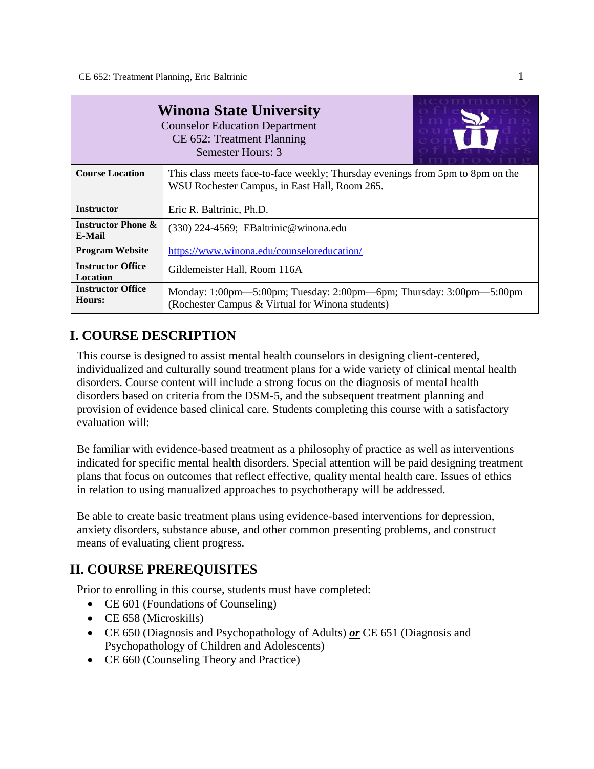| <b>Winona State University</b><br><b>Counselor Education Department</b><br>CE 652: Treatment Planning<br>Semester Hours: 3 |                                                                                                                                 |  |  |  |
|----------------------------------------------------------------------------------------------------------------------------|---------------------------------------------------------------------------------------------------------------------------------|--|--|--|
| <b>Course Location</b>                                                                                                     | This class meets face-to-face weekly; Thursday evenings from 5pm to 8pm on the<br>WSU Rochester Campus, in East Hall, Room 265. |  |  |  |
| <b>Instructor</b>                                                                                                          | Eric R. Baltrinic, Ph.D.                                                                                                        |  |  |  |
| <b>Instructor Phone &amp;</b><br><b>E-Mail</b>                                                                             | (330) 224-4569; EBaltrinic@winona.edu                                                                                           |  |  |  |
| <b>Program Website</b>                                                                                                     | https://www.winona.edu/counseloreducation/                                                                                      |  |  |  |
| <b>Instructor Office</b><br><b>Location</b>                                                                                | Gildemeister Hall, Room 116A                                                                                                    |  |  |  |
| <b>Instructor Office</b><br><b>Hours:</b>                                                                                  | Monday: 1:00pm—5:00pm; Tuesday: 2:00pm—6pm; Thursday: 3:00pm—5:00pm<br>(Rochester Campus & Virtual for Winona students)         |  |  |  |

## **I. COURSE DESCRIPTION**

This course is designed to assist mental health counselors in designing client-centered, individualized and culturally sound treatment plans for a wide variety of clinical mental health disorders. Course content will include a strong focus on the diagnosis of mental health disorders based on criteria from the DSM-5, and the subsequent treatment planning and provision of evidence based clinical care. Students completing this course with a satisfactory evaluation will:

Be familiar with evidence-based treatment as a philosophy of practice as well as interventions indicated for specific mental health disorders. Special attention will be paid designing treatment plans that focus on outcomes that reflect effective, quality mental health care. Issues of ethics in relation to using manualized approaches to psychotherapy will be addressed.

Be able to create basic treatment plans using evidence-based interventions for depression, anxiety disorders, substance abuse, and other common presenting problems, and construct means of evaluating client progress.

## **II. COURSE PREREQUISITES**

Prior to enrolling in this course, students must have completed:

- CE 601 (Foundations of Counseling)
- CE 658 (Microskills)
- CE 650 (Diagnosis and Psychopathology of Adults) *or* CE 651 (Diagnosis and Psychopathology of Children and Adolescents)
- CE 660 (Counseling Theory and Practice)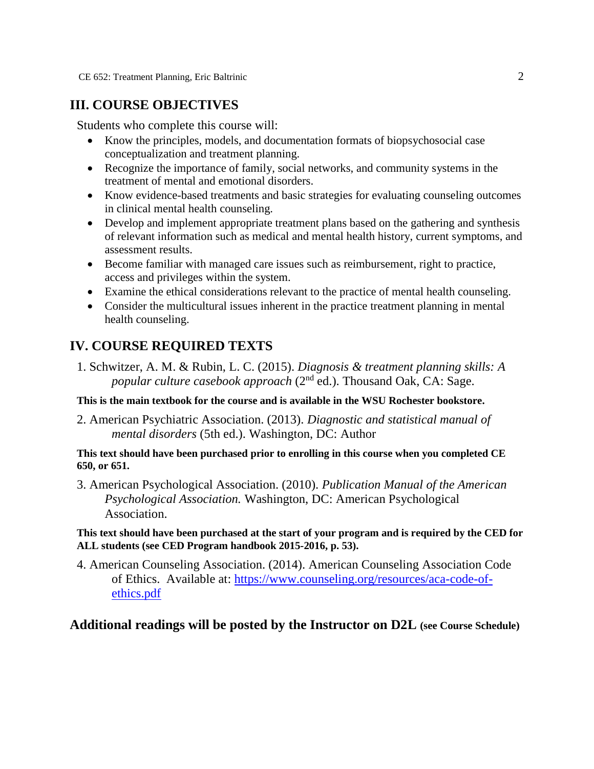## **III. COURSE OBJECTIVES**

Students who complete this course will:

- Know the principles, models, and documentation formats of biopsychosocial case conceptualization and treatment planning.
- Recognize the importance of family, social networks, and community systems in the treatment of mental and emotional disorders.
- Know evidence-based treatments and basic strategies for evaluating counseling outcomes in clinical mental health counseling.
- Develop and implement appropriate treatment plans based on the gathering and synthesis of relevant information such as medical and mental health history, current symptoms, and assessment results.
- Become familiar with managed care issues such as reimbursement, right to practice, access and privileges within the system.
- Examine the ethical considerations relevant to the practice of mental health counseling.
- Consider the multicultural issues inherent in the practice treatment planning in mental health counseling.

## **IV. COURSE REQUIRED TEXTS**

1. Schwitzer, A. M. & Rubin, L. C. (2015). *Diagnosis & treatment planning skills: A popular culture casebook approach* (2nd ed.). Thousand Oak, CA: Sage.

**This is the main textbook for the course and is available in the WSU Rochester bookstore.**

2. American Psychiatric Association. (2013). *Diagnostic and statistical manual of mental disorders* (5th ed.). Washington, DC: Author

## **This text should have been purchased prior to enrolling in this course when you completed CE 650, or 651.**

3. American Psychological Association. (2010). *Publication Manual of the American Psychological Association.* Washington, DC: American Psychological Association.

## **This text should have been purchased at the start of your program and is required by the CED for ALL students (see CED Program handbook 2015-2016, p. 53).**

4. American Counseling Association. (2014). American Counseling Association Code of Ethics. Available at: [https://www.counseling.org/resources/aca-code-of](https://www.counseling.org/resources/aca-code-of-ethics.pdf)[ethics.pdf](https://www.counseling.org/resources/aca-code-of-ethics.pdf)

## **Additional readings will be posted by the Instructor on D2L (see Course Schedule)**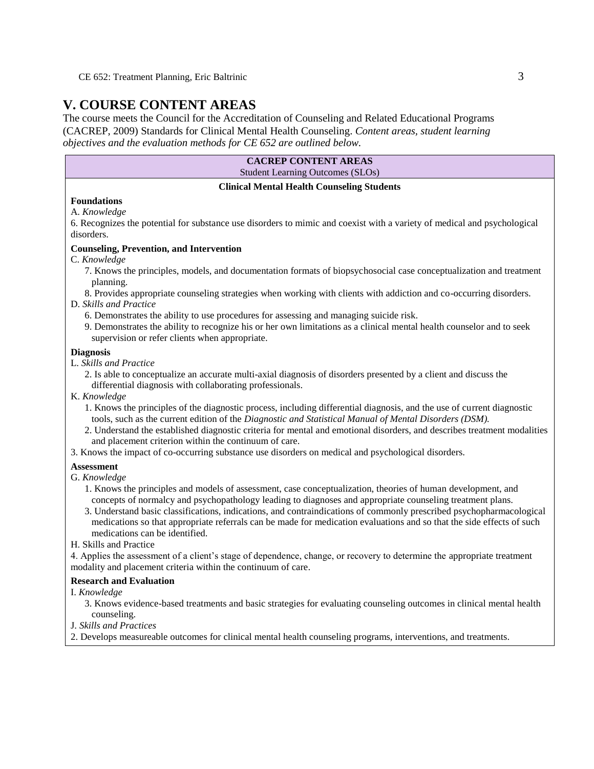## **V. COURSE CONTENT AREAS**

The course meets the Council for the Accreditation of Counseling and Related Educational Programs (CACREP, 2009) Standards for Clinical Mental Health Counseling. *Content areas, student learning objectives and the evaluation methods for CE 652 are outlined below.*

| <b>CACREP CONTENT AREAS</b>             |
|-----------------------------------------|
| <b>Student Learning Outcomes (SLOs)</b> |

#### **Clinical Mental Health Counseling Students**

#### **Foundations**

A. *Knowledge*

6. Recognizes the potential for substance use disorders to mimic and coexist with a variety of medical and psychological disorders.

#### **Counseling, Prevention, and Intervention**

- C. *Knowledge*
	- 7. Knows the principles, models, and documentation formats of biopsychosocial case conceptualization and treatment planning.
	- 8. Provides appropriate counseling strategies when working with clients with addiction and co-occurring disorders.

#### D. *Skills and Practice*

- 6. Demonstrates the ability to use procedures for assessing and managing suicide risk.
- 9. Demonstrates the ability to recognize his or her own limitations as a clinical mental health counselor and to seek supervision or refer clients when appropriate.

#### **Diagnosis**

- L. *Skills and Practice*
	- 2. Is able to conceptualize an accurate multi-axial diagnosis of disorders presented by a client and discuss the differential diagnosis with collaborating professionals.
- K. *Knowledge*
	- 1. Knows the principles of the diagnostic process, including differential diagnosis, and the use of current diagnostic tools, such as the current edition of the *Diagnostic and Statistical Manual of Mental Disorders (DSM).*
	- 2. Understand the established diagnostic criteria for mental and emotional disorders, and describes treatment modalities and placement criterion within the continuum of care.
- 3. Knows the impact of co-occurring substance use disorders on medical and psychological disorders.

#### **Assessment**

- G. *Knowledge*
	- 1. Knows the principles and models of assessment, case conceptualization, theories of human development, and concepts of normalcy and psychopathology leading to diagnoses and appropriate counseling treatment plans.
	- 3. Understand basic classifications, indications, and contraindications of commonly prescribed psychopharmacological medications so that appropriate referrals can be made for medication evaluations and so that the side effects of such medications can be identified.
- H. Skills and Practice

4. Applies the assessment of a client's stage of dependence, change, or recovery to determine the appropriate treatment modality and placement criteria within the continuum of care.

#### **Research and Evaluation**

- I. *Knowledge*
	- 3. Knows evidence-based treatments and basic strategies for evaluating counseling outcomes in clinical mental health counseling.
- J. *Skills and Practices*
- 2. Develops measureable outcomes for clinical mental health counseling programs, interventions, and treatments.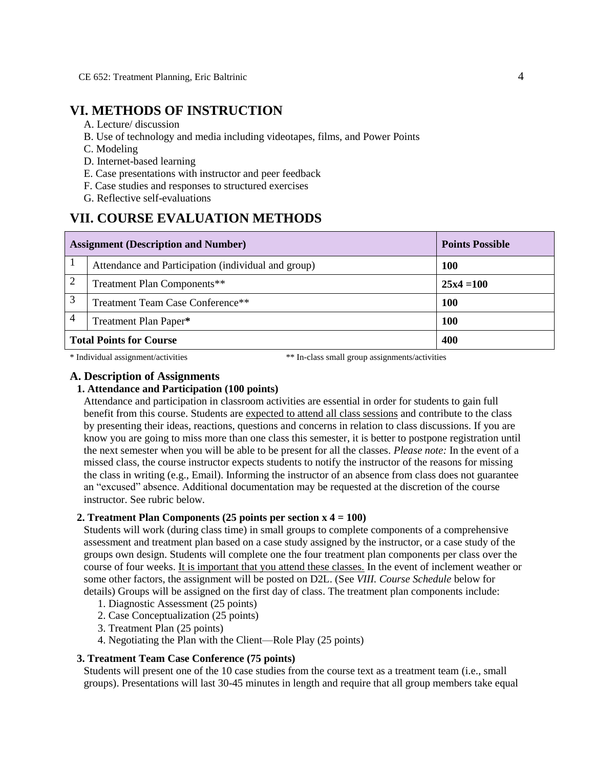## **VI. METHODS OF INSTRUCTION**

- A. Lecture/ discussion
- B. Use of technology and media including videotapes, films, and Power Points
- C. Modeling
- D. Internet-based learning
- E. Case presentations with instructor and peer feedback
- F. Case studies and responses to structured exercises
- G. Reflective self-evaluations

## **VII. COURSE EVALUATION METHODS**

|                                | <b>Assignment (Description and Number)</b>          | <b>Points Possible</b> |
|--------------------------------|-----------------------------------------------------|------------------------|
|                                | Attendance and Participation (individual and group) | <b>100</b>             |
|                                | Treatment Plan Components**                         | $25x4=100$             |
| 3                              | Treatment Team Case Conference**                    | <b>100</b>             |
| 4<br>Treatment Plan Paper*     |                                                     | <b>100</b>             |
| <b>Total Points for Course</b> |                                                     | 400                    |

\* Individual assignment/activities \*\* In-class small group assignments/activities

#### **A. Description of Assignments**

#### **1. Attendance and Participation (100 points)**

Attendance and participation in classroom activities are essential in order for students to gain full benefit from this course. Students are expected to attend all class sessions and contribute to the class by presenting their ideas, reactions, questions and concerns in relation to class discussions. If you are know you are going to miss more than one class this semester, it is better to postpone registration until the next semester when you will be able to be present for all the classes. *Please note:* In the event of a missed class, the course instructor expects students to notify the instructor of the reasons for missing the class in writing (e.g., Email). Informing the instructor of an absence from class does not guarantee an "excused" absence. Additional documentation may be requested at the discretion of the course instructor. See rubric below.

#### **2. Treatment Plan Components (25 points per section x 4 = 100)**

Students will work (during class time) in small groups to complete components of a comprehensive assessment and treatment plan based on a case study assigned by the instructor, or a case study of the groups own design. Students will complete one the four treatment plan components per class over the course of four weeks. It is important that you attend these classes. In the event of inclement weather or some other factors, the assignment will be posted on D2L. (See *VIII. Course Schedule* below for details) Groups will be assigned on the first day of class. The treatment plan components include:

- 1. Diagnostic Assessment (25 points)
- 2. Case Conceptualization (25 points)
- 3. Treatment Plan (25 points)
- 4. Negotiating the Plan with the Client—Role Play (25 points)

#### **3. Treatment Team Case Conference (75 points)**

Students will present one of the 10 case studies from the course text as a treatment team (i.e., small groups). Presentations will last 30-45 minutes in length and require that all group members take equal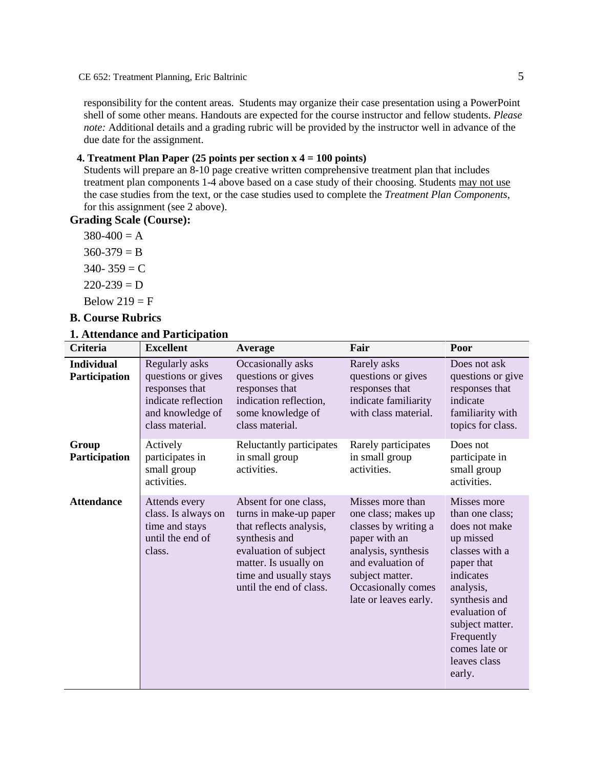responsibility for the content areas. Students may organize their case presentation using a PowerPoint shell of some other means. Handouts are expected for the course instructor and fellow students. *Please note:* Additional details and a grading rubric will be provided by the instructor well in advance of the due date for the assignment.

### **4. Treatment Plan Paper (25 points per section x 4 = 100 points)**

Students will prepare an 8-10 page creative written comprehensive treatment plan that includes treatment plan components 1-4 above based on a case study of their choosing. Students may not use the case studies from the text, or the case studies used to complete the *Treatment Plan Components*, for this assignment (see 2 above).

**Grading Scale (Course):**

 $380-400 = A$  $360-379 = B$  $340 - 359 = C$  $220 - 239 = D$ Below  $219 = F$ 

## **B. Course Rubrics**

#### **1. Attendance and Participation**

| <b>Criteria</b>                    | <b>Excellent</b>                                                                                                     | Average                                                                                                                                                                                            | Fair                                                                                                                                                                                           | Poor                                                                                                                                                                                                                                 |
|------------------------------------|----------------------------------------------------------------------------------------------------------------------|----------------------------------------------------------------------------------------------------------------------------------------------------------------------------------------------------|------------------------------------------------------------------------------------------------------------------------------------------------------------------------------------------------|--------------------------------------------------------------------------------------------------------------------------------------------------------------------------------------------------------------------------------------|
| <b>Individual</b><br>Participation | Regularly asks<br>questions or gives<br>responses that<br>indicate reflection<br>and knowledge of<br>class material. | Occasionally asks<br>questions or gives<br>responses that<br>indication reflection,<br>some knowledge of<br>class material.                                                                        | Rarely asks<br>questions or gives<br>responses that<br>indicate familiarity<br>with class material.                                                                                            | Does not ask<br>questions or give<br>responses that<br>indicate<br>familiarity with<br>topics for class.                                                                                                                             |
| Group<br>Participation             | Actively<br>participates in<br>small group<br>activities.                                                            | Reluctantly participates<br>in small group<br>activities.                                                                                                                                          | Rarely participates<br>in small group<br>activities.                                                                                                                                           | Does not<br>participate in<br>small group<br>activities.                                                                                                                                                                             |
| <b>Attendance</b>                  | Attends every<br>class. Is always on<br>time and stays<br>until the end of<br>class.                                 | Absent for one class,<br>turns in make-up paper<br>that reflects analysis,<br>synthesis and<br>evaluation of subject<br>matter. Is usually on<br>time and usually stays<br>until the end of class. | Misses more than<br>one class; makes up<br>classes by writing a<br>paper with an<br>analysis, synthesis<br>and evaluation of<br>subject matter.<br>Occasionally comes<br>late or leaves early. | Misses more<br>than one class;<br>does not make<br>up missed<br>classes with a<br>paper that<br>indicates<br>analysis,<br>synthesis and<br>evaluation of<br>subject matter.<br>Frequently<br>comes late or<br>leaves class<br>early. |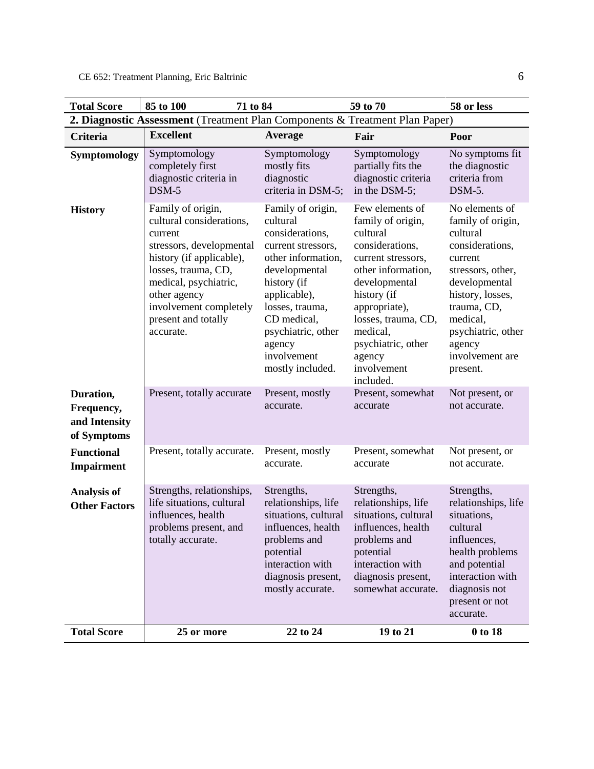| <b>Total Score</b>                                                          | 85 to 100<br>71 to 84                                                                                                                                                                                                                                                       |                                                                                                                                                                                                                                                                      | 59 to 70                                                                                                                                                                                                                                                                             | 58 or less                                                                                                                                                                                                                                           |
|-----------------------------------------------------------------------------|-----------------------------------------------------------------------------------------------------------------------------------------------------------------------------------------------------------------------------------------------------------------------------|----------------------------------------------------------------------------------------------------------------------------------------------------------------------------------------------------------------------------------------------------------------------|--------------------------------------------------------------------------------------------------------------------------------------------------------------------------------------------------------------------------------------------------------------------------------------|------------------------------------------------------------------------------------------------------------------------------------------------------------------------------------------------------------------------------------------------------|
| 2. Diagnostic Assessment (Treatment Plan Components & Treatment Plan Paper) |                                                                                                                                                                                                                                                                             |                                                                                                                                                                                                                                                                      |                                                                                                                                                                                                                                                                                      |                                                                                                                                                                                                                                                      |
| <b>Criteria</b>                                                             | <b>Excellent</b>                                                                                                                                                                                                                                                            | Average                                                                                                                                                                                                                                                              | Fair                                                                                                                                                                                                                                                                                 | Poor                                                                                                                                                                                                                                                 |
| Symptomology                                                                | Symptomology<br>completely first<br>diagnostic criteria in<br>DSM-5                                                                                                                                                                                                         | Symptomology<br>mostly fits<br>diagnostic<br>criteria in DSM-5;                                                                                                                                                                                                      | Symptomology<br>partially fits the<br>diagnostic criteria<br>in the DSM-5;                                                                                                                                                                                                           | No symptoms fit<br>the diagnostic<br>criteria from<br>DSM-5.                                                                                                                                                                                         |
| <b>History</b><br>Duration,                                                 | Family of origin,<br>cultural considerations.<br>current<br>stressors, developmental<br>history (if applicable),<br>losses, trauma, CD,<br>medical, psychiatric,<br>other agency<br>involvement completely<br>present and totally<br>accurate.<br>Present, totally accurate | Family of origin,<br>cultural<br>considerations,<br>current stressors,<br>other information,<br>developmental<br>history (if<br>applicable),<br>losses, trauma,<br>CD medical,<br>psychiatric, other<br>agency<br>involvement<br>mostly included.<br>Present, mostly | Few elements of<br>family of origin,<br>cultural<br>considerations,<br>current stressors,<br>other information,<br>developmental<br>history (if<br>appropriate),<br>losses, trauma, CD,<br>medical,<br>psychiatric, other<br>agency<br>involvement<br>included.<br>Present, somewhat | No elements of<br>family of origin,<br>cultural<br>considerations,<br>current<br>stressors, other,<br>developmental<br>history, losses,<br>trauma, CD,<br>medical,<br>psychiatric, other<br>agency<br>involvement are<br>present.<br>Not present, or |
| Frequency,<br>and Intensity<br>of Symptoms                                  |                                                                                                                                                                                                                                                                             | accurate.                                                                                                                                                                                                                                                            | accurate                                                                                                                                                                                                                                                                             | not accurate.                                                                                                                                                                                                                                        |
| <b>Functional</b><br><b>Impairment</b>                                      | Present, totally accurate.                                                                                                                                                                                                                                                  | Present, mostly<br>accurate.                                                                                                                                                                                                                                         | Present, somewhat<br>accurate                                                                                                                                                                                                                                                        | Not present, or<br>not accurate.                                                                                                                                                                                                                     |
| <b>Analysis of</b><br><b>Other Factors</b>                                  | Strengths, relationships,<br>life situations, cultural<br>influences, health<br>problems present, and<br>totally accurate.                                                                                                                                                  | Strengths,<br>relationships, life<br>situations, cultural<br>influences, health<br>problems and<br>potential<br>interaction with<br>diagnosis present,<br>mostly accurate.                                                                                           | Strengths,<br>relationships, life<br>situations, cultural<br>influences, health<br>problems and<br>potential<br>interaction with<br>diagnosis present,<br>somewhat accurate.                                                                                                         | Strengths,<br>relationships, life<br>situations,<br>cultural<br>influences,<br>health problems<br>and potential<br>interaction with<br>diagnosis not<br>present or not<br>accurate.                                                                  |
| <b>Total Score</b>                                                          | 25 or more                                                                                                                                                                                                                                                                  | 22 to 24                                                                                                                                                                                                                                                             | 19 to 21                                                                                                                                                                                                                                                                             | 0 to 18                                                                                                                                                                                                                                              |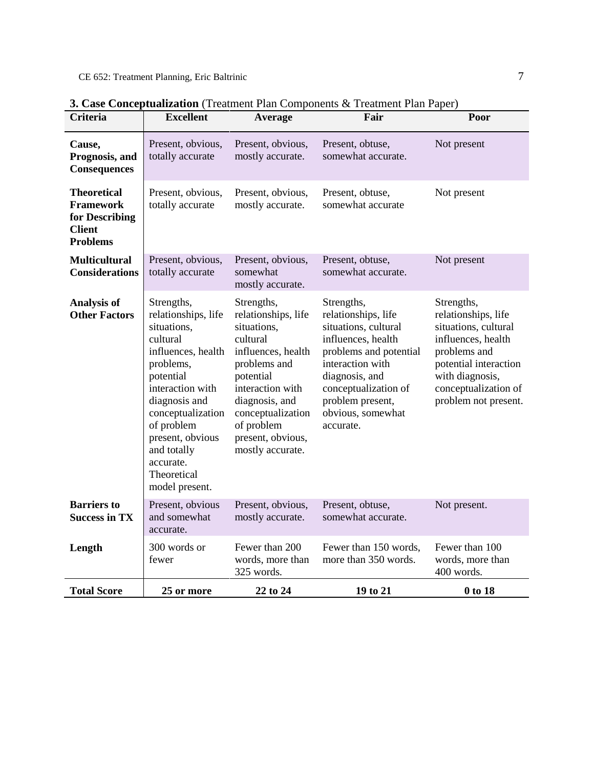| <b>Criteria</b>                                                                              | <b>Excellent</b>                                                                                                                                                                                                                                                      | Average                                                                                                                                                                                                                           | Fair                                                                                                                                                                                                                          | Poor                                                                                                                                                                                        |
|----------------------------------------------------------------------------------------------|-----------------------------------------------------------------------------------------------------------------------------------------------------------------------------------------------------------------------------------------------------------------------|-----------------------------------------------------------------------------------------------------------------------------------------------------------------------------------------------------------------------------------|-------------------------------------------------------------------------------------------------------------------------------------------------------------------------------------------------------------------------------|---------------------------------------------------------------------------------------------------------------------------------------------------------------------------------------------|
| Cause,<br>Prognosis, and<br><b>Consequences</b>                                              | Present, obvious,<br>totally accurate                                                                                                                                                                                                                                 | Present, obvious,<br>mostly accurate.                                                                                                                                                                                             | Present, obtuse,<br>somewhat accurate.                                                                                                                                                                                        | Not present                                                                                                                                                                                 |
| <b>Theoretical</b><br><b>Framework</b><br>for Describing<br><b>Client</b><br><b>Problems</b> | Present, obvious,<br>totally accurate                                                                                                                                                                                                                                 | Present, obvious,<br>mostly accurate.                                                                                                                                                                                             | Present, obtuse,<br>somewhat accurate                                                                                                                                                                                         | Not present                                                                                                                                                                                 |
| <b>Multicultural</b><br><b>Considerations</b>                                                | Present, obvious,<br>totally accurate                                                                                                                                                                                                                                 | Present, obvious,<br>somewhat<br>mostly accurate.                                                                                                                                                                                 | Present, obtuse,<br>somewhat accurate.                                                                                                                                                                                        | Not present                                                                                                                                                                                 |
| <b>Analysis of</b><br><b>Other Factors</b>                                                   | Strengths,<br>relationships, life<br>situations,<br>cultural<br>influences, health<br>problems,<br>potential<br>interaction with<br>diagnosis and<br>conceptualization<br>of problem<br>present, obvious<br>and totally<br>accurate.<br>Theoretical<br>model present. | Strengths,<br>relationships, life<br>situations,<br>cultural<br>influences, health<br>problems and<br>potential<br>interaction with<br>diagnosis, and<br>conceptualization<br>of problem<br>present, obvious,<br>mostly accurate. | Strengths,<br>relationships, life<br>situations, cultural<br>influences, health<br>problems and potential<br>interaction with<br>diagnosis, and<br>conceptualization of<br>problem present,<br>obvious, somewhat<br>accurate. | Strengths,<br>relationships, life<br>situations, cultural<br>influences, health<br>problems and<br>potential interaction<br>with diagnosis,<br>conceptualization of<br>problem not present. |
| <b>Barriers</b> to<br><b>Success in TX</b>                                                   | Present, obvious<br>and somewhat<br>accurate.                                                                                                                                                                                                                         | Present, obvious,<br>mostly accurate.                                                                                                                                                                                             | Present, obtuse,<br>somewhat accurate.                                                                                                                                                                                        | Not present.                                                                                                                                                                                |
| Length                                                                                       | 300 words or<br>fewer                                                                                                                                                                                                                                                 | Fewer than 200<br>words, more than<br>325 words.                                                                                                                                                                                  | Fewer than 150 words,<br>more than 350 words.                                                                                                                                                                                 | Fewer than 100<br>words, more than<br>400 words.                                                                                                                                            |
| <b>Total Score</b>                                                                           | 25 or more                                                                                                                                                                                                                                                            | 22 to 24                                                                                                                                                                                                                          | 19 to 21                                                                                                                                                                                                                      | 0 to 18                                                                                                                                                                                     |

**3. Case Conceptualization** (Treatment Plan Components & Treatment Plan Paper)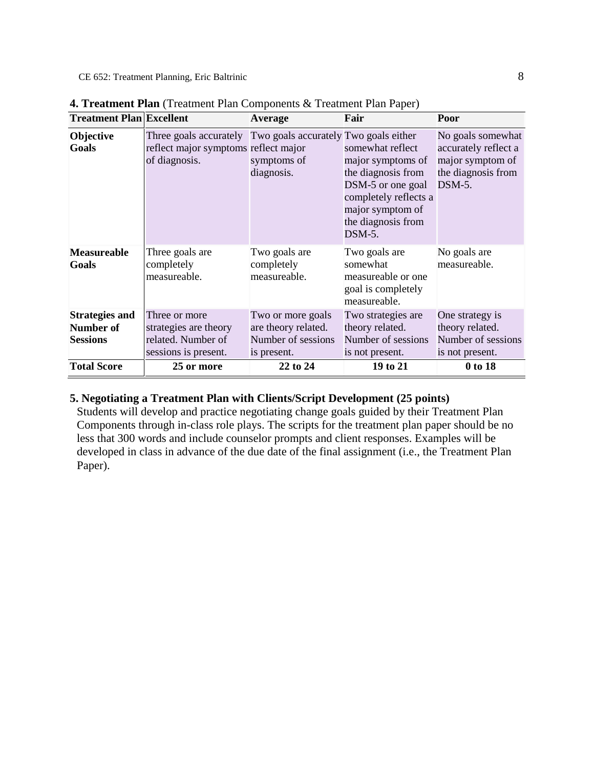CE 652: Treatment Planning, Eric Baltrinic 8

| <b>Treatment Plan Excellent</b>                       |                                                                                                                       | <b>Average</b>                                                                | Fair                                                                                                                                                          | Poor                                                                                            |
|-------------------------------------------------------|-----------------------------------------------------------------------------------------------------------------------|-------------------------------------------------------------------------------|---------------------------------------------------------------------------------------------------------------------------------------------------------------|-------------------------------------------------------------------------------------------------|
| <b>Objective</b><br><b>Goals</b>                      | Three goals accurately Two goals accurately Two goals either<br>reflect major symptoms reflect major<br>of diagnosis. | symptoms of<br>diagnosis.                                                     | somewhat reflect<br>major symptoms of<br>the diagnosis from<br>DSM-5 or one goal<br>completely reflects a<br>major symptom of<br>the diagnosis from<br>DSM-5. | No goals somewhat<br>accurately reflect a<br>major symptom of<br>the diagnosis from<br>$DSM-5.$ |
| <b>Measureable</b><br>Goals                           | Three goals are<br>completely<br>measureable.                                                                         | Two goals are<br>completely<br>measureable.                                   | Two goals are<br>somewhat<br>measureable or one.<br>goal is completely<br>measureable.                                                                        | No goals are<br>measureable.                                                                    |
| <b>Strategies and</b><br>Number of<br><b>Sessions</b> | Three or more<br>strategies are theory<br>related. Number of<br>sessions is present.                                  | Two or more goals<br>are theory related.<br>Number of sessions<br>is present. | Two strategies are<br>theory related.<br>Number of sessions<br>is not present.                                                                                | One strategy is<br>theory related.<br>Number of sessions<br>is not present.                     |
| <b>Total Score</b>                                    | 25 or more                                                                                                            | 22 to 24                                                                      | 19 to 21                                                                                                                                                      | 0 to 18                                                                                         |

| 4. Treatment Plan (Treatment Plan Components & Treatment Plan Paper) |  |  |  |  |
|----------------------------------------------------------------------|--|--|--|--|
|----------------------------------------------------------------------|--|--|--|--|

## **5. Negotiating a Treatment Plan with Clients/Script Development (25 points)**

Students will develop and practice negotiating change goals guided by their Treatment Plan Components through in-class role plays. The scripts for the treatment plan paper should be no less that 300 words and include counselor prompts and client responses. Examples will be developed in class in advance of the due date of the final assignment (i.e., the Treatment Plan Paper).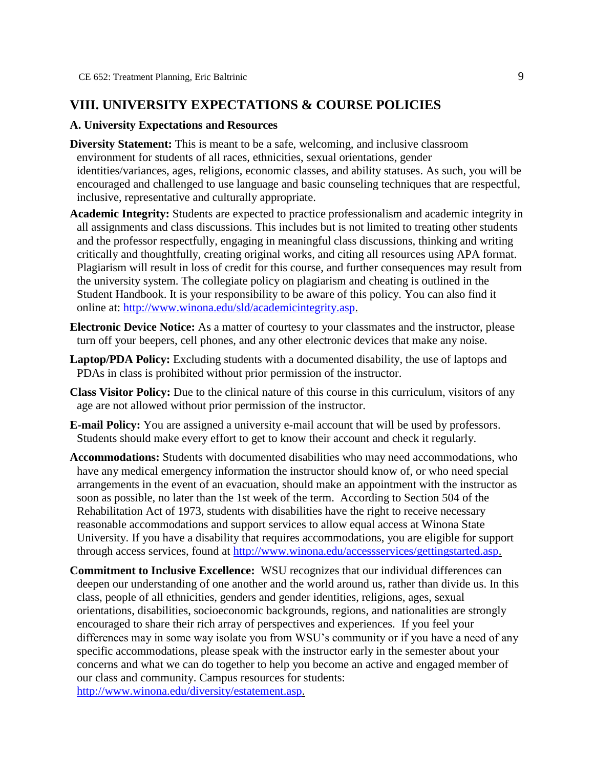## **VIII. UNIVERSITY EXPECTATIONS & COURSE POLICIES**

#### **A. University Expectations and Resources**

- **Diversity Statement:** This is meant to be a safe, welcoming, and inclusive classroom environment for students of all races, ethnicities, sexual orientations, gender identities/variances, ages, religions, economic classes, and ability statuses. As such, you will be encouraged and challenged to use language and basic counseling techniques that are respectful, inclusive, representative and culturally appropriate.
- **Academic Integrity:** Students are expected to practice professionalism and academic integrity in all assignments and class discussions. This includes but is not limited to treating other students and the professor respectfully, engaging in meaningful class discussions, thinking and writing critically and thoughtfully, creating original works, and citing all resources using APA format. Plagiarism will result in loss of credit for this course, and further consequences may result from the university system. The collegiate policy on plagiarism and cheating is outlined in the Student Handbook. It is your responsibility to be aware of this policy. You can also find it online at: [http://www.winona.edu/sld/academicintegrity.asp.](http://www.winona.edu/sld/academicintegrity.asp)
- **Electronic Device Notice:** As a matter of courtesy to your classmates and the instructor, please turn off your beepers, cell phones, and any other electronic devices that make any noise.
- **Laptop/PDA Policy:** Excluding students with a documented disability, the use of laptops and PDAs in class is prohibited without prior permission of the instructor.
- **Class Visitor Policy:** Due to the clinical nature of this course in this curriculum, visitors of any age are not allowed without prior permission of the instructor.
- **E-mail Policy:** You are assigned a university e-mail account that will be used by professors. Students should make every effort to get to know their account and check it regularly.
- **Accommodations:** Students with documented disabilities who may need accommodations, who have any medical emergency information the instructor should know of, or who need special arrangements in the event of an evacuation, should make an appointment with the instructor as soon as possible, no later than the 1st week of the term. According to Section 504 of the Rehabilitation Act of 1973, students with disabilities have the right to receive necessary reasonable accommodations and support services to allow equal access at Winona State University. If you have a disability that requires accommodations, you are eligible for support through access services, found at [http://www.winona.edu/accessservices/gettingstarted.asp.](http://www.winona.edu/accessservices/gettingstarted.asp)
- **Commitment to Inclusive Excellence:** WSU recognizes that our individual differences can deepen our understanding of one another and the world around us, rather than divide us. In this class, people of all ethnicities, genders and gender identities, religions, ages, sexual orientations, disabilities, socioeconomic backgrounds, regions, and nationalities are strongly encouraged to share their rich array of perspectives and experiences. If you feel your differences may in some way isolate you from WSU's community or if you have a need of any specific accommodations, please speak with the instructor early in the semester about your concerns and what we can do together to help you become an active and engaged member of our class and community. Campus resources for students: [http://www.winona.edu/diversity/estatement.asp.](http://www.winona.edu/diversity/estatement.asp)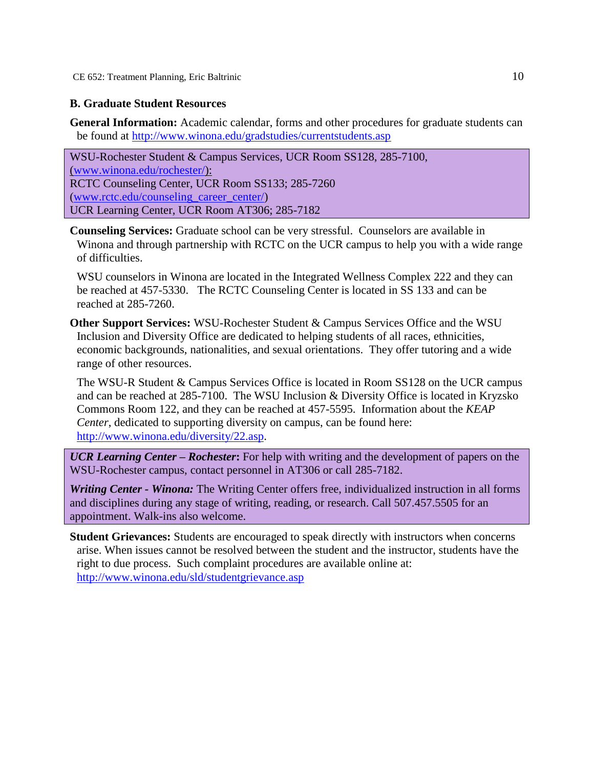CE 652: Treatment Planning, Eric Baltrinic 10

## **B. Graduate Student Resources**

**General Information:** Academic calendar, forms and other procedures for graduate students can be found at<http://www.winona.edu/gradstudies/currentstudents.asp>

WSU-Rochester Student & Campus Services, UCR Room SS128, 285-7100, [\(www.winona.edu/rochester/\)](http://www.winona.edu/rochester/): RCTC Counseling Center, UCR Room SS133; 285-7260 [\(www.rctc.edu/counseling\\_career\\_center/\)](http://www.rctc.edu/counseling_career_center/) UCR Learning Center, UCR Room AT306; 285-7182

**Counseling Services:** Graduate school can be very stressful. Counselors are available in Winona and through partnership with RCTC on the UCR campus to help you with a wide range of difficulties.

WSU counselors in Winona are located in the Integrated Wellness Complex 222 and they can be reached at 457-5330. The RCTC Counseling Center is located in SS 133 and can be reached at 285-7260.

**Other Support Services:** WSU-Rochester Student & Campus Services Office and the WSU Inclusion and Diversity Office are dedicated to helping students of all races, ethnicities, economic backgrounds, nationalities, and sexual orientations. They offer tutoring and a wide range of other resources.

The WSU-R Student & Campus Services Office is located in Room SS128 on the UCR campus and can be reached at 285-7100. The WSU Inclusion & Diversity Office is located in Kryzsko Commons Room 122, and they can be reached at 457-5595. Information about the *KEAP Center*, dedicated to supporting diversity on campus, can be found here: [http://www.winona.edu/diversity/22.asp.](http://www.winona.edu/diversity/22.asp)

*UCR Learning Center – Rochester***:** For help with writing and the development of papers on the WSU-Rochester campus, contact personnel in AT306 or call 285-7182.

*Writing Center - Winona:* The Writing Center offers free, individualized instruction in all forms and disciplines during any stage of writing, reading, or research. Call 507.457.5505 for an appointment. Walk-ins also welcome.

**Student Grievances:** Students are encouraged to speak directly with instructors when concerns arise. When issues cannot be resolved between the student and the instructor, students have the right to due process. Such complaint procedures are available online at: <http://www.winona.edu/sld/studentgrievance.asp>